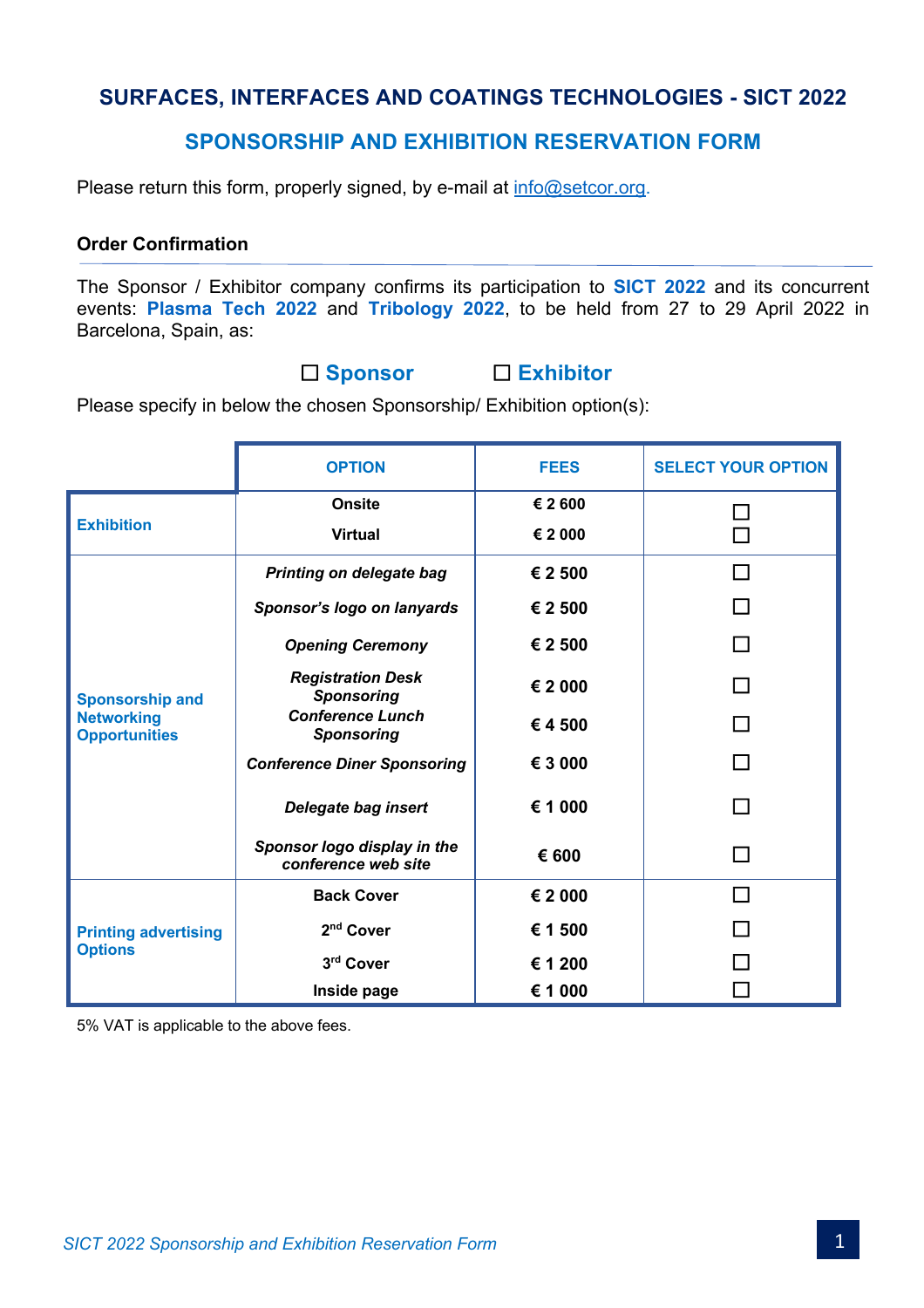# **SURFACES, INTERFACES AND COATINGS TECHNOLOGIES - SICT 2022**

# **SPONSORSHIP AND EXHIBITION RESERVATION FORM**

Please return this form, properly signed, by e-mail at info@setcor.org.

## **Order Confirmation**

The Sponsor / Exhibitor company confirms its participation to **SICT 2022** and its concurrent events: **Plasma Tech 2022** and **Tribology 2022**, to be held from 27 to 29 April 2022 in Barcelona, Spain, as:

£ **Sponsor** £ **Exhibitor**

Please specify in below the chosen Sponsorship/ Exhibition option(s):

|                                                                     | <b>OPTION</b>                                      | <b>FEES</b>        | <b>SELECT YOUR OPTION</b> |
|---------------------------------------------------------------------|----------------------------------------------------|--------------------|---------------------------|
| <b>Exhibition</b>                                                   | <b>Onsite</b><br><b>Virtual</b>                    | € 2 600<br>€ 2 000 |                           |
| <b>Sponsorship and</b><br><b>Networking</b><br><b>Opportunities</b> | Printing on delegate bag                           | € 2 500            | П                         |
|                                                                     | Sponsor's logo on lanyards                         | € 2 500            |                           |
|                                                                     | <b>Opening Ceremony</b>                            | € 2 500            |                           |
|                                                                     | <b>Registration Desk</b><br><b>Sponsoring</b>      | € 2 000            |                           |
|                                                                     | <b>Conference Lunch</b><br><b>Sponsoring</b>       | €4500              |                           |
|                                                                     | <b>Conference Diner Sponsoring</b>                 | € 3 000            |                           |
|                                                                     | Delegate bag insert                                | € 1 000            |                           |
|                                                                     | Sponsor logo display in the<br>conference web site | € 600              |                           |
| <b>Printing advertising</b><br><b>Options</b>                       | <b>Back Cover</b>                                  | € 2 000            |                           |
|                                                                     | 2 <sup>nd</sup> Cover                              | € 1 500            |                           |
|                                                                     | 3rd Cover                                          | € 1 200            |                           |
|                                                                     | Inside page                                        | € 1 000            |                           |

5% VAT is applicable to the above fees.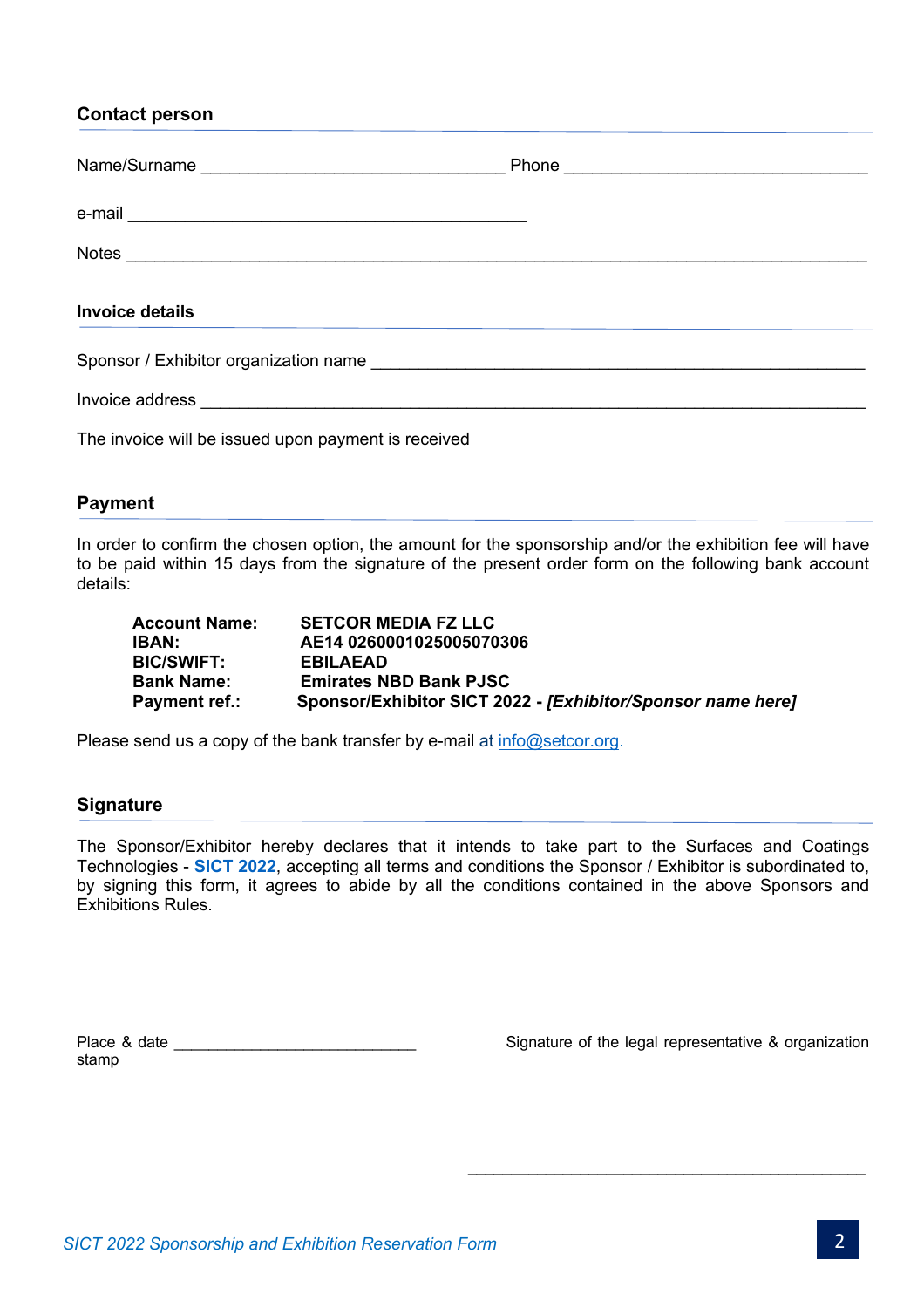**Contact person**

| <b>Invoice details</b>                              |  |
|-----------------------------------------------------|--|
|                                                     |  |
|                                                     |  |
| The invoice will be issued upon payment is received |  |

# **Payment**

In order to confirm the chosen option, the amount for the sponsorship and/or the exhibition fee will have to be paid within 15 days from the signature of the present order form on the following bank account details:

| <b>Account Name:</b> | <b>SETCOR MEDIA FZ LLC</b>                                  |
|----------------------|-------------------------------------------------------------|
| IBAN:                | AE14 0260001025005070306                                    |
| <b>BIC/SWIFT:</b>    | <b>EBILAEAD</b>                                             |
| <b>Bank Name:</b>    | <b>Emirates NBD Bank PJSC</b>                               |
| <b>Payment ref.:</b> | Sponsor/Exhibitor SICT 2022 - [Exhibitor/Sponsor name here] |

Please send us a copy of the bank transfer by e-mail at info@setcor.org.

## **Signature**

The Sponsor/Exhibitor hereby declares that it intends to take part to the Surfaces and Coatings Technologies - **SICT 2022**, accepting all terms and conditions the Sponsor / Exhibitor is subordinated to, by signing this form, it agrees to abide by all the conditions contained in the above Sponsors and Exhibitions Rules.

stamp

Place & date \_\_\_\_\_\_\_\_\_\_\_\_\_\_\_\_\_\_\_\_\_\_\_\_\_\_\_\_ Signature of the legal representative & organization

\_\_\_\_\_\_\_\_\_\_\_\_\_\_\_\_\_\_\_\_\_\_\_\_\_\_\_\_\_\_\_\_\_\_\_\_\_\_\_\_\_\_\_\_\_\_